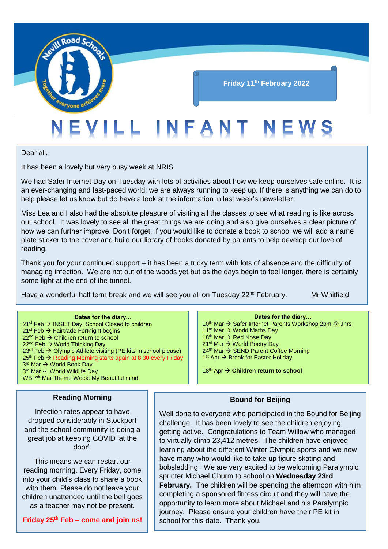

## **Friday 11th February 2022**

# EVILL INFANT NEWS

Dear all,

It has been a lovely but very busy week at NRIS.

We had Safer Internet Day on Tuesday with lots of activities about how we keep ourselves safe online. It is an ever-changing and fast-paced world; we are always running to keep up. If there is anything we can do to help please let us know but do have a look at the information in last week's newsletter.

Miss Lea and I also had the absolute pleasure of visiting all the classes to see what reading is like across our school. It was lovely to see all the great things we are doing and also give ourselves a clear picture of how we can further improve. Don't forget, if you would like to donate a book to school we will add a name plate sticker to the cover and build our library of books donated by parents to help develop our love of reading.

Thank you for your continued support – it has been a tricky term with lots of absence and the difficulty of managing infection. We are not out of the woods yet but as the days begin to feel longer, there is certainly some light at the end of the tunnel.

Have a wonderful half term break and we will see you all on Tuesday 22<sup>nd</sup> February. Mr Whitfield

| Dates for the diary                                                        |
|----------------------------------------------------------------------------|
| 21 <sup>st</sup> Feb → INSET Day: School Closed to children                |
| 21 <sup>st</sup> Feb $\rightarrow$ Fairtrade Fortnight begins              |
| 22 <sup>nd</sup> Feb → Children return to school                           |
| 22 <sup>nd</sup> Feb → World Thinking Day                                  |
| 23 <sup>rd</sup> Feb → Olympic Athlete visiting (PE kits in school please) |
| 25 <sup>th</sup> Feb → Reading Morning starts again at 8:30 every Friday   |
| 3 <sup>rd</sup> Mar → World Book Day                                       |
|                                                                            |

WB 7<sup>th</sup> Mar Theme Week: My Beautiful mind

3<sup>rd</sup> Mar --. World Wildlife Day

#### **Reading Morning**

Infection rates appear to have dropped considerably in Stockport and the school community is doing a great job at keeping COVID 'at the door'.

This means we can restart our reading morning. Every Friday, come into your child's class to share a book with them. Please do not leave your children unattended until the bell goes as a teacher may not be present.

**Friday 25th Feb – come and join us!**

#### **Dates for the diary…**

10<sup>th</sup> Mar → Safer Internet Parents Workshop 2pm @ Jnrs 11<sup>th</sup> Mar → World Maths Day 18<sup>th</sup> Mar → Red Nose Day 21<sup>st</sup> Mar → World Poetry Day  $24<sup>th</sup>$  Mar  $\rightarrow$  SEND Parent Coffee Morning 1<sup>st</sup> Apr → Break for Easter Holiday

18<sup>th</sup> Apr → Children return to school

#### **Bound for Beijing**

Well done to everyone who participated in the Bound for Beijing challenge. It has been lovely to see the children enjoying getting active. Congratulations to Team Willow who managed to virtually climb 23,412 metres! The children have enjoyed learning about the different Winter Olympic sports and we now have many who would like to take up figure skating and bobsledding! We are very excited to be welcoming Paralympic sprinter Michael Churm to school on **Wednesday 23rd February.** The children will be spending the afternoon with him completing a sponsored fitness circuit and they will have the opportunity to learn more about Michael and his Paralympic journey. Please ensure your children have their PE kit in school for this date. Thank you.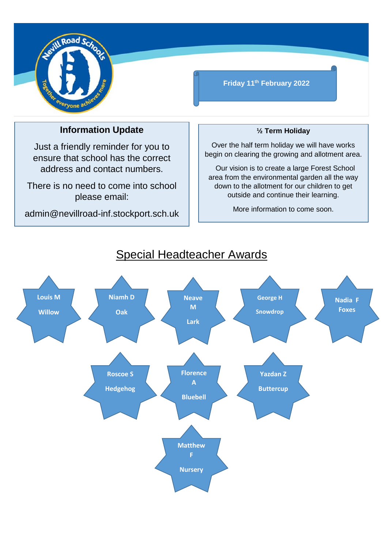

## **Friday 11th February 2022**

## **Information Update**

Just a friendly reminder for you to ensure that school has the correct address and contact numbers.

There is no need to come into school please email:

admin@nevillroad-inf.stockport.sch.uk

### **½ Term Holiday**

Over the half term holiday we will have works begin on clearing the growing and allotment area.

 Our vision is to create a large Forest School area from the environmental garden all the way down to the allotment for our children to get outside and continue their learning.

More information to come soon.



## Special Headteacher Awards